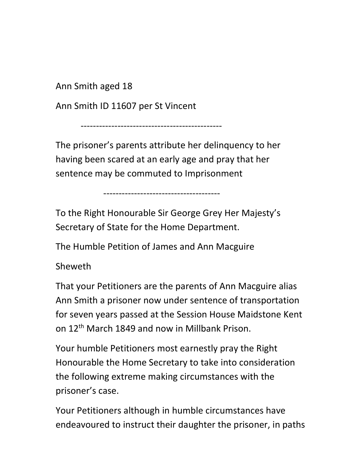Ann Smith aged 18

Ann Smith ID 11607 per St Vincent

----------------------------------------------

The prisoner's parents attribute her delinquency to her having been scared at an early age and pray that her sentence may be commuted to Imprisonment

--------------------------------------

To the Right Honourable Sir George Grey Her Majesty's Secretary of State for the Home Department.

The Humble Petition of James and Ann Macguire

Sheweth

That your Petitioners are the parents of Ann Macguire alias Ann Smith a prisoner now under sentence of transportation for seven years passed at the Session House Maidstone Kent on 12<sup>th</sup> March 1849 and now in Millbank Prison.

Your humble Petitioners most earnestly pray the Right Honourable the Home Secretary to take into consideration the following extreme making circumstances with the prisoner's case.

Your Petitioners although in humble circumstances have endeavoured to instruct their daughter the prisoner, in paths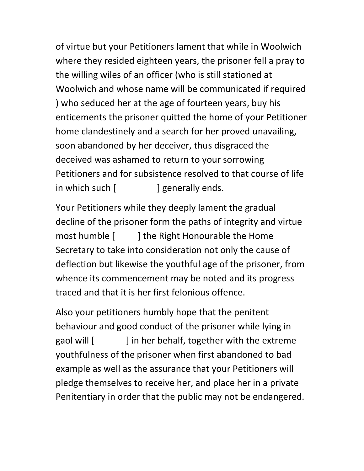of virtue but your Petitioners lament that while in Woolwich where they resided eighteen years, the prisoner fell a pray to the willing wiles of an officer (who is still stationed at Woolwich and whose name will be communicated if required ) who seduced her at the age of fourteen years, buy his enticements the prisoner quitted the home of your Petitioner home clandestinely and a search for her proved unavailing, soon abandoned by her deceiver, thus disgraced the deceived was ashamed to return to your sorrowing Petitioners and for subsistence resolved to that course of life in which such  $\left[ \right]$  generally ends.

Your Petitioners while they deeply lament the gradual decline of the prisoner form the paths of integrity and virtue most humble [ ] the Right Honourable the Home Secretary to take into consideration not only the cause of deflection but likewise the youthful age of the prisoner, from whence its commencement may be noted and its progress traced and that it is her first felonious offence.

Also your petitioners humbly hope that the penitent behaviour and good conduct of the prisoner while lying in gaol will [ ] in her behalf, together with the extreme youthfulness of the prisoner when first abandoned to bad example as well as the assurance that your Petitioners will pledge themselves to receive her, and place her in a private Penitentiary in order that the public may not be endangered.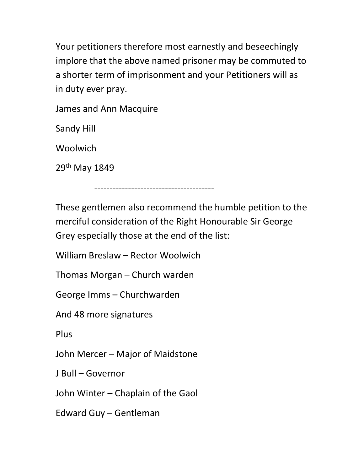Your petitioners therefore most earnestly and beseechingly implore that the above named prisoner may be commuted to a shorter term of imprisonment and your Petitioners will as in duty ever pray.

James and Ann Macquire

Sandy Hill

Woolwich

29<sup>th</sup> May 1849

These gentlemen also recommend the humble petition to the merciful consideration of the Right Honourable Sir George Grey especially those at the end of the list:

---------------------------------------

William Breslaw – Rector Woolwich

Thomas Morgan – Church warden

George Imms – Churchwarden

And 48 more signatures

Plus

John Mercer – Major of Maidstone

J Bull – Governor

John Winter – Chaplain of the Gaol

Edward Guy – Gentleman